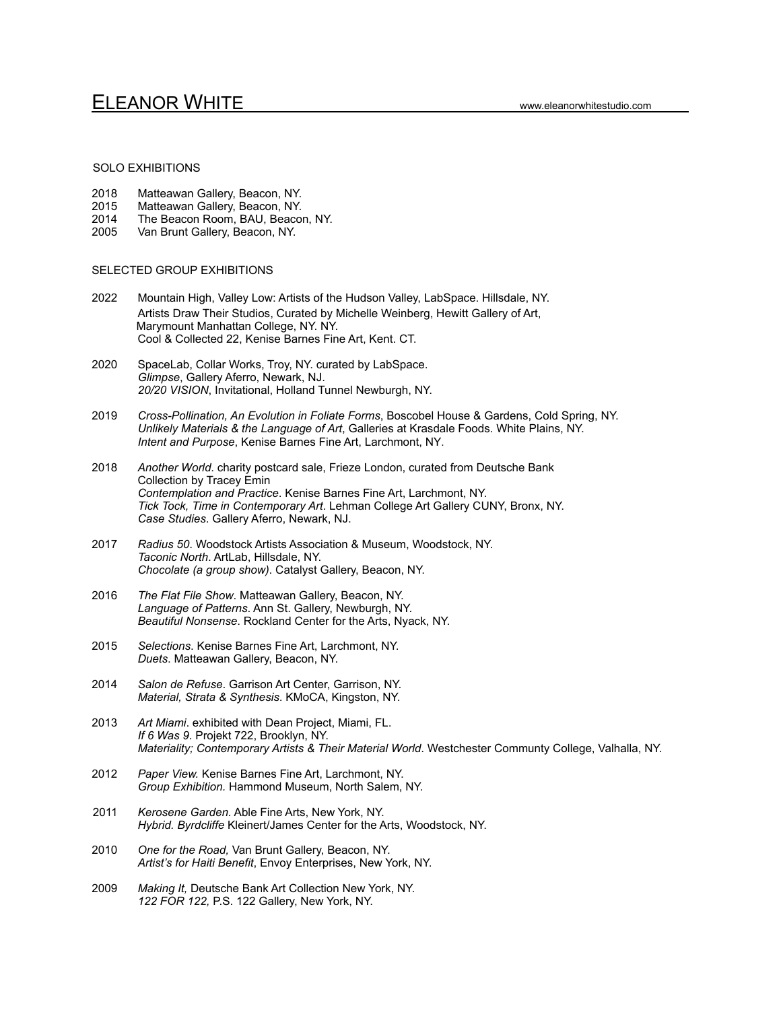## SOLO EXHIBITIONS

- 2018 Matteawan Gallery, Beacon, NY.
- 2015 Matteawan Gallery, Beacon, NY.<br>2014 The Beacon Room, BAU, Beacor
- The Beacon Room, BAU, Beacon, NY.
- 2005 Van Brunt Gallery, Beacon, NY.

### SELECTED GROUP EXHIBITIONS

- 2022 Mountain High, Valley Low: Artists of the Hudson Valley, LabSpace. Hillsdale, NY. Artists Draw Their Studios, Curated by Michelle Weinberg, Hewitt Gallery of Art, Marymount Manhattan College, NY. NY. Cool & Collected 22, Kenise Barnes Fine Art, Kent. CT.
- 2020 SpaceLab, Collar Works, Troy, NY. curated by LabSpace. *Glimpse*, Gallery Aferro, Newark, NJ. *20/20 VISION*, Invitational, Holland Tunnel Newburgh, NY.
- 2019 *Cross-Pollination, An Evolution in Foliate Forms*, Boscobel House & Gardens, Cold Spring, NY. *Unlikely Materials & the Language of Art*, Galleries at Krasdale Foods. White Plains, NY. *Intent and Purpose*, Kenise Barnes Fine Art, Larchmont, NY.
- 2018 *Another World*. charity postcard sale, Frieze London, curated from Deutsche Bank Collection by Tracey Emin *Contemplation and Practice*. Kenise Barnes Fine Art, Larchmont, NY. *Tick Tock, Time in Contemporary Art*. Lehman College Art Gallery CUNY, Bronx, NY. *Case Studies*. Gallery Aferro, Newark, NJ.
- 2017 *Radius 50*. Woodstock Artists Association & Museum, Woodstock, NY. *Taconic North*. ArtLab, Hillsdale, NY. *Chocolate (a group show)*. Catalyst Gallery, Beacon, NY.
- 2016 *The Flat File Show*. Matteawan Gallery, Beacon, NY. *Language of Patterns*. Ann St. Gallery, Newburgh, NY. *Beautiful Nonsense*. Rockland Center for the Arts, Nyack, NY.
- 2015 *Selections*. Kenise Barnes Fine Art, Larchmont, NY. *Duets*. Matteawan Gallery, Beacon, NY.
- 2014 *Salon de Refuse*. Garrison Art Center, Garrison, NY. *Material, Strata & Synthesis*. KMoCA, Kingston, NY.
- 2013 *Art Miami*. exhibited with Dean Project, Miami, FL. *If 6 Was 9*. Projekt 722, Brooklyn, NY. *Materiality; Contemporary Artists & Their Material World*. Westchester Communty College, Valhalla, NY.
- 2012 *Paper View.* Kenise Barnes Fine Art, Larchmont, NY. *Group Exhibition.* Hammond Museum, North Salem, NY.
- 2011 *Kerosene Garden.* Able Fine Arts, New York, NY. *Hybrid. Byrdcliffe* Kleinert/James Center for the Arts, Woodstock, NY.
- 2010 *One for the Road,* Van Brunt Gallery, Beacon, NY. *Artist's for Haiti Benefit*, Envoy Enterprises, New York, NY.
- 2009 *Making It,* Deutsche Bank Art Collection New York, NY. *122 FOR 122,* P.S. 122 Gallery, New York, NY.